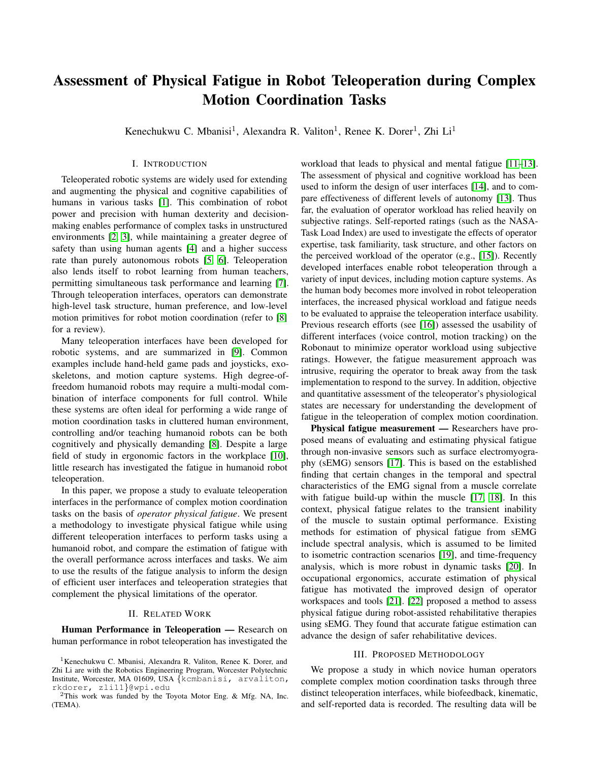# Assessment of Physical Fatigue in Robot Teleoperation during Complex Motion Coordination Tasks

Kenechukwu C. Mbanisi<sup>1</sup>, Alexandra R. Valiton<sup>1</sup>, Renee K. Dorer<sup>1</sup>, Zhi Li<sup>1</sup>

## I. INTRODUCTION

Teleoperated robotic systems are widely used for extending and augmenting the physical and cognitive capabilities of humans in various tasks [\[1\]](#page-2-0). This combination of robot power and precision with human dexterity and decisionmaking enables performance of complex tasks in unstructured environments [\[2,](#page-2-1) [3\]](#page-2-2), while maintaining a greater degree of safety than using human agents [\[4\]](#page-2-3) and a higher success rate than purely autonomous robots [\[5,](#page-2-4) [6\]](#page-2-5). Teleoperation also lends itself to robot learning from human teachers, permitting simultaneous task performance and learning [\[7\]](#page-2-6). Through teleoperation interfaces, operators can demonstrate high-level task structure, human preference, and low-level motion primitives for robot motion coordination (refer to [\[8\]](#page-2-7) for a review).

Many teleoperation interfaces have been developed for robotic systems, and are summarized in [\[9\]](#page-2-8). Common examples include hand-held game pads and joysticks, exoskeletons, and motion capture systems. High degree-offreedom humanoid robots may require a multi-modal combination of interface components for full control. While these systems are often ideal for performing a wide range of motion coordination tasks in cluttered human environment, controlling and/or teaching humanoid robots can be both cognitively and physically demanding [\[8\]](#page-2-7). Despite a large field of study in ergonomic factors in the workplace [\[10\]](#page-2-9), little research has investigated the fatigue in humanoid robot teleoperation.

In this paper, we propose a study to evaluate teleoperation interfaces in the performance of complex motion coordination tasks on the basis of *operator physical fatigue*. We present a methodology to investigate physical fatigue while using different teleoperation interfaces to perform tasks using a humanoid robot, and compare the estimation of fatigue with the overall performance across interfaces and tasks. We aim to use the results of the fatigue analysis to inform the design of efficient user interfaces and teleoperation strategies that complement the physical limitations of the operator.

### II. RELATED WORK

Human Performance in Teleoperation — Research on human performance in robot teleoperation has investigated the workload that leads to physical and mental fatigue [\[11–](#page-2-10)[13\]](#page-2-11). The assessment of physical and cognitive workload has been used to inform the design of user interfaces [\[14\]](#page-2-12), and to compare effectiveness of different levels of autonomy [\[13\]](#page-2-11). Thus far, the evaluation of operator workload has relied heavily on subjective ratings. Self-reported ratings (such as the NASA-Task Load Index) are used to investigate the effects of operator expertise, task familiarity, task structure, and other factors on the perceived workload of the operator (e.g., [\[15\]](#page-2-13)). Recently developed interfaces enable robot teleoperation through a variety of input devices, including motion capture systems. As the human body becomes more involved in robot teleoperation interfaces, the increased physical workload and fatigue needs to be evaluated to appraise the teleoperation interface usability. Previous research efforts (see [\[16\]](#page-2-14)) assessed the usability of different interfaces (voice control, motion tracking) on the Robonaut to minimize operator workload using subjective ratings. However, the fatigue measurement approach was intrusive, requiring the operator to break away from the task implementation to respond to the survey. In addition, objective and quantitative assessment of the teleoperator's physiological states are necessary for understanding the development of fatigue in the teleoperation of complex motion coordination.

Physical fatigue measurement — Researchers have proposed means of evaluating and estimating physical fatigue through non-invasive sensors such as surface electromyography (sEMG) sensors [\[17\]](#page-2-15). This is based on the established finding that certain changes in the temporal and spectral characteristics of the EMG signal from a muscle correlate with fatigue build-up within the muscle [\[17,](#page-2-15) [18\]](#page-2-16). In this context, physical fatigue relates to the transient inability of the muscle to sustain optimal performance. Existing methods for estimation of physical fatigue from sEMG include spectral analysis, which is assumed to be limited to isometric contraction scenarios [\[19\]](#page-2-17), and time-frequency analysis, which is more robust in dynamic tasks [\[20\]](#page-2-18). In occupational ergonomics, accurate estimation of physical fatigue has motivated the improved design of operator workspaces and tools [\[21\]](#page-2-19). [\[22\]](#page-2-20) proposed a method to assess physical fatigue during robot-assisted rehabilitative therapies using sEMG. They found that accurate fatigue estimation can advance the design of safer rehabilitative devices.

#### III. PROPOSED METHODOLOGY

We propose a study in which novice human operators complete complex motion coordination tasks through three distinct teleoperation interfaces, while biofeedback, kinematic, and self-reported data is recorded. The resulting data will be

<sup>&</sup>lt;sup>1</sup> Kenechukwu C. Mbanisi, Alexandra R. Valiton, Renee K. Dorer, and Zhi Li are with the Robotics Engineering Program, Worcester Polytechnic Institute, Worcester, MA 01609, USA {kcmbanisi, arvaliton, rkdorer, zli11}@wpi.edu

<sup>2</sup>This work was funded by the Toyota Motor Eng. & Mfg. NA, Inc. (TEMA).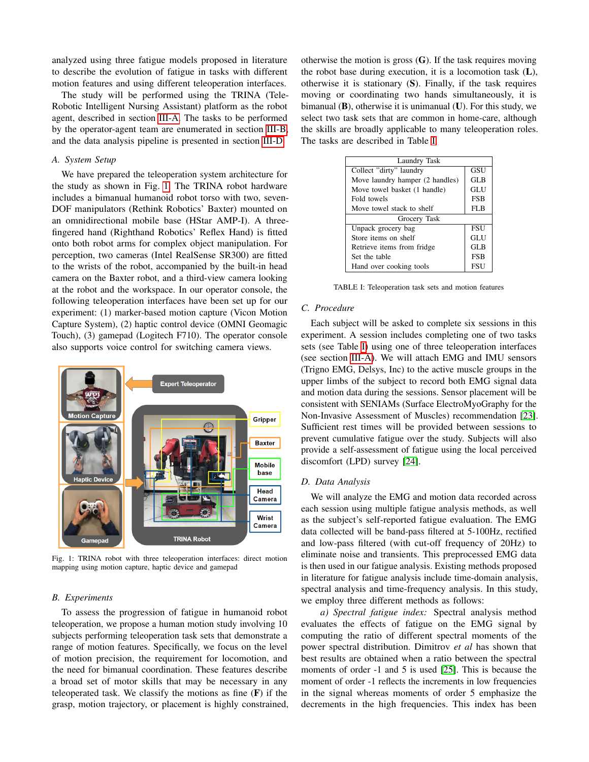analyzed using three fatigue models proposed in literature to describe the evolution of fatigue in tasks with different motion features and using different teleoperation interfaces.

The study will be performed using the TRINA (Tele-Robotic Intelligent Nursing Assistant) platform as the robot agent, described in section [III-A.](#page-1-0) The tasks to be performed by the operator-agent team are enumerated in section [III-B,](#page-1-1) and the data analysis pipeline is presented in section [III-D.](#page-1-2)

## <span id="page-1-0"></span>*A. System Setup*

We have prepared the teleoperation system architecture for the study as shown in Fig. [1.](#page-1-3) The TRINA robot hardware includes a bimanual humanoid robot torso with two, seven-DOF manipulators (Rethink Robotics' Baxter) mounted on an omnidirectional mobile base (HStar AMP-I). A threefingered hand (Righthand Robotics' Reflex Hand) is fitted onto both robot arms for complex object manipulation. For perception, two cameras (Intel RealSense SR300) are fitted to the wrists of the robot, accompanied by the built-in head camera on the Baxter robot, and a third-view camera looking at the robot and the workspace. In our operator console, the following teleoperation interfaces have been set up for our experiment: (1) marker-based motion capture (Vicon Motion Capture System), (2) haptic control device (OMNI Geomagic Touch), (3) gamepad (Logitech F710). The operator console also supports voice control for switching camera views.

<span id="page-1-3"></span>

Fig. 1: TRINA robot with three teleoperation interfaces: direct motion mapping using motion capture, haptic device and gamepad

#### <span id="page-1-1"></span>*B. Experiments*

To assess the progression of fatigue in humanoid robot teleoperation, we propose a human motion study involving 10 subjects performing teleoperation task sets that demonstrate a range of motion features. Specifically, we focus on the level of motion precision, the requirement for locomotion, and the need for bimanual coordination. These features describe a broad set of motor skills that may be necessary in any teleoperated task. We classify the motions as fine  $(F)$  if the grasp, motion trajectory, or placement is highly constrained, otherwise the motion is gross  $(G)$ . If the task requires moving the robot base during execution, it is a locomotion task (L), otherwise it is stationary (S). Finally, if the task requires moving or coordinating two hands simultaneously, it is bimanual  $(B)$ , otherwise it is unimanual  $(U)$ . For this study, we select two task sets that are common in home-care, although the skills are broadly applicable to many teleoperation roles. The tasks are described in Table [I.](#page-1-4)

<span id="page-1-4"></span>

| Laundry Task                    |            |
|---------------------------------|------------|
| Collect "dirty" laundry         | <b>GSU</b> |
| Move laundry hamper (2 handles) | GL B       |
| Move towel basket (1 handle)    | GLU        |
| Fold towels                     | <b>FSB</b> |
| Move towel stack to shelf       | FLB        |
| Grocery Task                    |            |
| Unpack grocery bag              | <b>FSU</b> |
| Store items on shelf            | GLU        |
| Retrieve items from fridge      | GL B       |
| Set the table                   | <b>FSB</b> |
| Hand over cooking tools         | <b>ESU</b> |

TABLE I: Teleoperation task sets and motion features

#### *C. Procedure*

Each subject will be asked to complete six sessions in this experiment. A session includes completing one of two tasks sets (see Table [I\)](#page-1-4) using one of three teleoperation interfaces (see section [III-A\)](#page-1-0). We will attach EMG and IMU sensors (Trigno EMG, Delsys, Inc) to the active muscle groups in the upper limbs of the subject to record both EMG signal data and motion data during the sessions. Sensor placement will be consistent with SENIAMs (Surface ElectroMyoGraphy for the Non-Invasive Assessment of Muscles) recommendation [\[23\]](#page-2-21). Sufficient rest times will be provided between sessions to prevent cumulative fatigue over the study. Subjects will also provide a self-assessment of fatigue using the local perceived discomfort (LPD) survey [\[24\]](#page-2-22).

#### <span id="page-1-2"></span>*D. Data Analysis*

We will analyze the EMG and motion data recorded across each session using multiple fatigue analysis methods, as well as the subject's self-reported fatigue evaluation. The EMG data collected will be band-pass filtered at 5-100Hz, rectified and low-pass filtered (with cut-off frequency of 20Hz) to eliminate noise and transients. This preprocessed EMG data is then used in our fatigue analysis. Existing methods proposed in literature for fatigue analysis include time-domain analysis, spectral analysis and time-frequency analysis. In this study, we employ three different methods as follows:

*a) Spectral fatigue index:* Spectral analysis method evaluates the effects of fatigue on the EMG signal by computing the ratio of different spectral moments of the power spectral distribution. Dimitrov *et al* has shown that best results are obtained when a ratio between the spectral moments of order -1 and 5 is used [\[25\]](#page-2-23). This is because the moment of order -1 reflects the increments in low frequencies in the signal whereas moments of order 5 emphasize the decrements in the high frequencies. This index has been